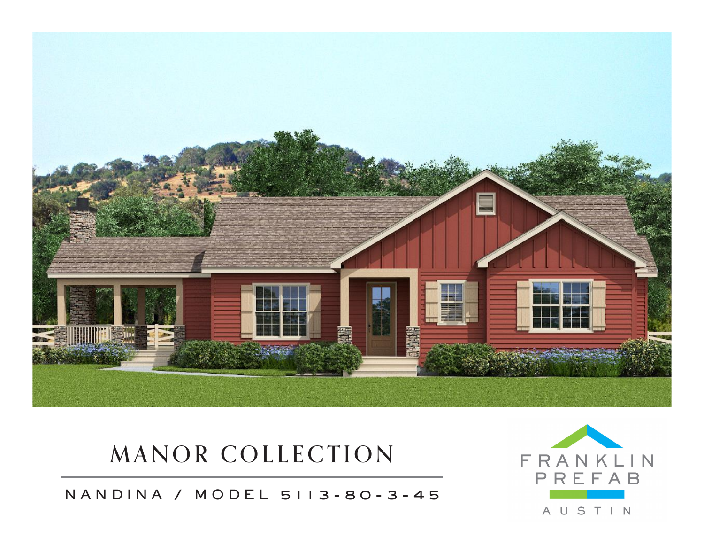

## MANOR COLLECTION

NANDINA / MODEL 5113-80-3-45